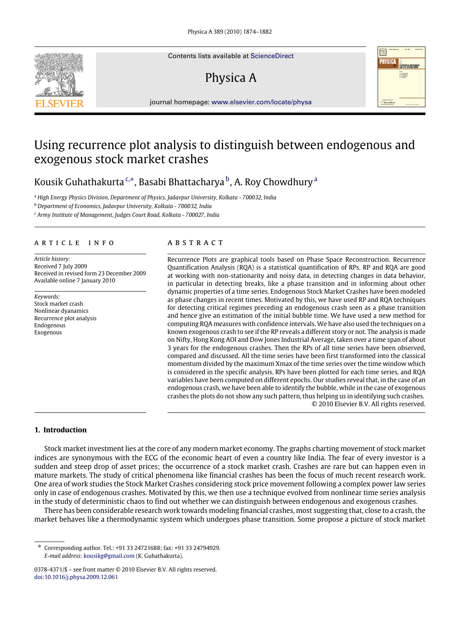Contents lists available at [ScienceDirect](http://www.elsevier.com/locate/physa)

# Physica A



PHYSICA

**EA DIRECT**<br>**AD ROEKE** 

journal homepage: [www.elsevier.com/locate/physa](http://www.elsevier.com/locate/physa)

## Using recurrence plot analysis to distinguish between endogenous and exogenous stock market crashes

### Kousik Guhathakurta <sup>[c,](#page-0-0)</sup>\*, Basa[b](#page-0-2)i Bh[a](#page-0-3)ttacharya <sup>b</sup>, A. Roy Chowdhury <sup>a</sup>

<span id="page-0-3"></span><sup>a</sup> *High Energy Physics Division, Department of Physics, Jadavpur University, Kolkata - 700032, India*

<span id="page-0-2"></span><sup>b</sup> *Department of Economics, Jadavpur University, Kolkata - 700032, India*

<span id="page-0-0"></span><sup>c</sup> *Army Institute of Management, Judges Court Road, Kolkata - 700027, India*

#### a r t i c l e i n f o

*Article history:* Received 7 July 2009 Received in revised form 23 December 2009 Available online 7 January 2010

*Keywords:* Stock market crash Nonlinear dyanamics Recurrence plot analysis Endogenous Exogenous

#### a b s t r a c t

Recurrence Plots are graphical tools based on Phase Space Reconstruction. Recurrence Quantification Analysis (RQA) is a statistical quantification of RPs. RP and RQA are good at working with non-stationarity and noisy data, in detecting changes in data behavior, in particular in detecting breaks, like a phase transition and in informing about other dynamic properties of a time series. Endogenous Stock Market Crashes have been modeled as phase changes in recent times. Motivated by this, we have used RP and RQA techniques for detecting critical regimes preceding an endogenous crash seen as a phase transition and hence give an estimation of the initial bubble time. We have used a new method for computing RQA measures with confidence intervals. We have also used the techniques on a known exogenous crash to see if the RP reveals a different story or not. The analysis is made on Nifty, Hong Kong AOI and Dow Jones Industrial Average, taken over a time span of about 3 years for the endogenous crashes. Then the RPs of all time series have been observed, compared and discussed. All the time series have been first transformed into the classical momentum divided by the maximum Xmax of the time series over the time window which is considered in the specific analysis. RPs have been plotted for each time series, and RQA variables have been computed on different epochs. Our studies reveal that, in the case of an endogenous crash, we have been able to identify the bubble, while in the case of exogenous crashes the plots do not show any such pattern, thus helping us in identifying such crashes. © 2010 Elsevier B.V. All rights reserved.

#### **1. Introduction**

Stock market investment lies at the core of any modern market economy. The graphs charting movement of stock market indices are synonymous with the ECG of the economic heart of even a country like India. The fear of every investor is a sudden and steep drop of asset prices; the occurrence of a stock market crash. Crashes are rare but can happen even in mature markets. The study of critical phenomena like financial crashes has been the focus of much recent research work. One area of work studies the Stock Market Crashes considering stock price movement following a complex power law series only in case of endogenous crashes. Motivated by this, we then use a technique evolved from nonlinear time series analysis in the study of deterministic chaos to find out whether we can distinguish between endogenous and exogenous crashes.

There has been considerable research work towards modeling financial crashes, most suggesting that, close to a crash, the market behaves like a thermodynamic system which undergoes phase transition. Some propose a picture of stock market



<span id="page-0-1"></span><sup>∗</sup> Corresponding author. Tel.: +91 33 24721688; fax: +91 33 24794929. *E-mail address:* [kousikg@gmail.com](mailto:kousikg@gmail.com) (K. Guhathakurta).

<sup>0378-4371/\$ –</sup> see front matter © 2010 Elsevier B.V. All rights reserved. [doi:10.1016/j.physa.2009.12.061](http://dx.doi.org/10.1016/j.physa.2009.12.061)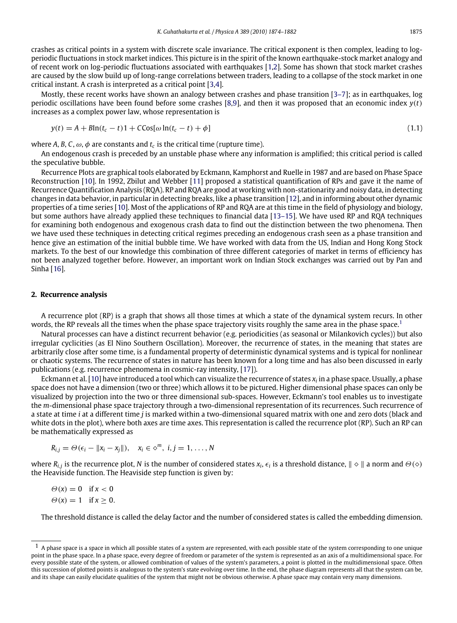crashes as critical points in a system with discrete scale invariance. The critical exponent is then complex, leading to logperiodic fluctuations in stock market indices. This picture is in the spirit of the known earthquake-stock market analogy and of recent work on log-periodic fluctuations associated with earthquakes [\[1,](#page--1-0)[2\]](#page--1-1). Some has shown that stock market crashes are caused by the slow build up of long-range correlations between traders, leading to a collapse of the stock market in one critical instant. A crash is interpreted as a critical point [\[3,](#page--1-2)[4\]](#page--1-3).

Mostly, these recent works have shown an analogy between crashes and phase transition [\[3–7\]](#page--1-2); as in earthquakes, log periodic oscillations have been found before some crashes [\[8](#page--1-4)[,9\]](#page--1-5), and then it was proposed that an economic index *y*(*t*) increases as a complex power law, whose representation is

$$
y(t) = A + B\ln(t_c - t)1 + C\cos[\omega\ln(t_c - t) + \phi]
$$
\n(1.1)

where *A*, *B*, *C*,  $\omega$ ,  $\phi$  are constants and  $t_c$  is the critical time (rupture time).

An endogenous crash is preceded by an unstable phase where any information is amplified; this critical period is called the speculative bubble.

Recurrence Plots are graphical tools elaborated by Eckmann, Kamphorst and Ruelle in 1987 and are based on Phase Space Reconstruction [\[10\]](#page--1-6). In 1992, Zbilut and Webber [\[11\]](#page--1-7) proposed a statistical quantification of RPs and gave it the name of Recurrence Quantification Analysis (RQA). RP and RQA are good at working with non-stationarity and noisy data, in detecting changes in data behavior, in particular in detecting breaks, like a phase transition [\[12\]](#page--1-8), and in informing about other dynamic properties of a time series [\[10\]](#page--1-6). Most of the applications of RP and RQA are at this time in the field of physiology and biology, but some authors have already applied these techniques to financial data [\[13–15\]](#page--1-9). We have used RP and RQA techniques for examining both endogenous and exogenous crash data to find out the distinction between the two phenomena. Then we have used these techniques in detecting critical regimes preceding an endogenous crash seen as a phase transition and hence give an estimation of the initial bubble time. We have worked with data from the US, Indian and Hong Kong Stock markets. To the best of our knowledge this combination of three different categories of market in terms of efficiency has not been analyzed together before. However, an important work on Indian Stock exchanges was carried out by Pan and Sinha [\[16\]](#page--1-10).

#### **2. Recurrence analysis**

A recurrence plot (RP) is a graph that shows all those times at which a state of the dynamical system recurs. In other words, the RP reveals all the times when the phase space trajectory visits roughly the same area in the phase space.<sup>[1](#page-1-0)</sup>

Natural processes can have a distinct recurrent behavior (e.g. periodicities (as seasonal or Milankovich cycles)) but also irregular cyclicities (as El Nino Southern Oscillation). Moreover, the recurrence of states, in the meaning that states are arbitrarily close after some time, is a fundamental property of deterministic dynamical systems and is typical for nonlinear or chaotic systems. The recurrence of states in nature has been known for a long time and has also been discussed in early publications (e.g. recurrence phenomena in cosmic-ray intensity, [\[17\]](#page--1-11)).

Eckmann et al. [\[10\]](#page--1-6) have introduced a tool which can visualize the recurrence of states *x<sup>i</sup>* in a phase space. Usually, a phase space does not have a dimension (two or three) which allows it to be pictured. Higher dimensional phase spaces can only be visualized by projection into the two or three dimensional sub-spaces. However, Eckmann's tool enables us to investigate the *m*-dimensional phase space trajectory through a two-dimensional representation of its recurrences. Such recurrence of a state at time *i* at a different time *j* is marked within a two-dimensional squared matrix with one and zero dots (black and white dots in the plot), where both axes are time axes. This representation is called the recurrence plot (RP). Such an RP can be mathematically expressed as

$$
R_{i,j} = \Theta(\epsilon_i - ||x_i - x_j||), \quad x_i \in \diamond^m, \ i, j = 1, \ldots, N
$$

where  $R_{i,j}$  is the recurrence plot, N is the number of considered states  $x_i$ ,  $\epsilon_i$  is a threshold distance,  $\|\diamond\|$  a norm and  $\Theta(\diamond)$ the Heaviside function. The Heaviside step function is given by:

$$
\Theta(x) = 0 \quad \text{if } x < 0
$$
\n
$$
\Theta(x) = 1 \quad \text{if } x \ge 0.
$$

The threshold distance is called the delay factor and the number of considered states is called the embedding dimension.

<span id="page-1-0"></span> $<sup>1</sup>$  A phase space is a space in which all possible states of a system are represented, with each possible state of the system corresponding to one unique</sup> point in the phase space. In a phase space, every degree of freedom or parameter of the system is represented as an axis of a multidimensional space. For every possible state of the system, or allowed combination of values of the system's parameters, a point is plotted in the multidimensional space. Often this succession of plotted points is analogous to the system's state evolving over time. In the end, the phase diagram represents all that the system can be, and its shape can easily elucidate qualities of the system that might not be obvious otherwise. A phase space may contain very many dimensions.